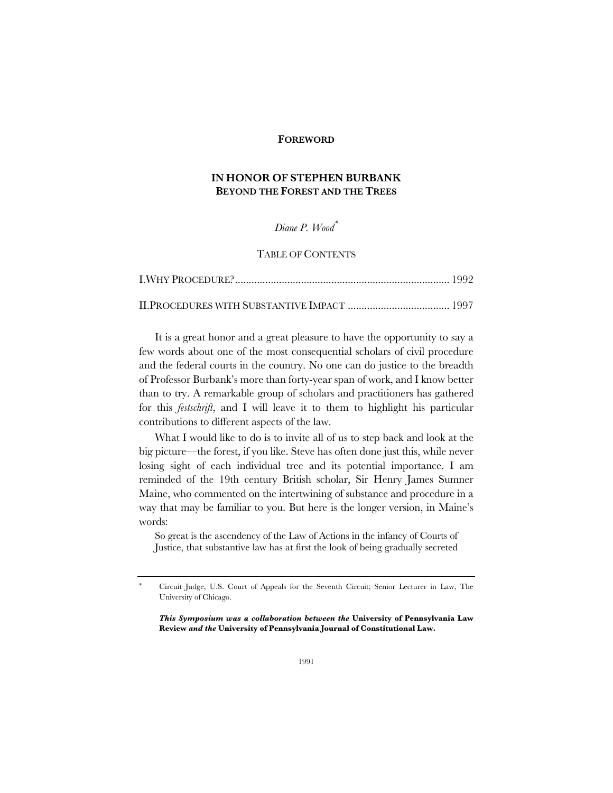#### **FOREWORD**

# **IN HONOR OF STEPHEN BURBANK BEYOND THE FOREST AND THE TREES**

## *Diane P. Wood*\*

### TABLE OF CONTENTS

It is a great honor and a great pleasure to have the opportunity to say a few words about one of the most consequential scholars of civil procedure and the federal courts in the country. No one can do justice to the breadth of Professor Burbank's more than forty-year span of work, and I know better than to try. A remarkable group of scholars and practitioners has gathered for this *festschrift*, and I will leave it to them to highlight his particular contributions to different aspects of the law.

What I would like to do is to invite all of us to step back and look at the big picture—the forest, if you like. Steve has often done just this, while never losing sight of each individual tree and its potential importance. I am reminded of the 19th century British scholar, Sir Henry James Sumner Maine, who commented on the intertwining of substance and procedure in a way that may be familiar to you. But here is the longer version, in Maine's words:

So great is the ascendency of the Law of Actions in the infancy of Courts of Justice, that substantive law has at first the look of being gradually secreted

*This Symposium was a collaboration between the* **University of Pennsylvania Law Review** *and the* **University of Pennsylvania Journal of Constitutional Law.**

<sup>\*</sup> Circuit Judge, U.S. Court of Appeals for the Seventh Circuit; Senior Lecturer in Law, The University of Chicago.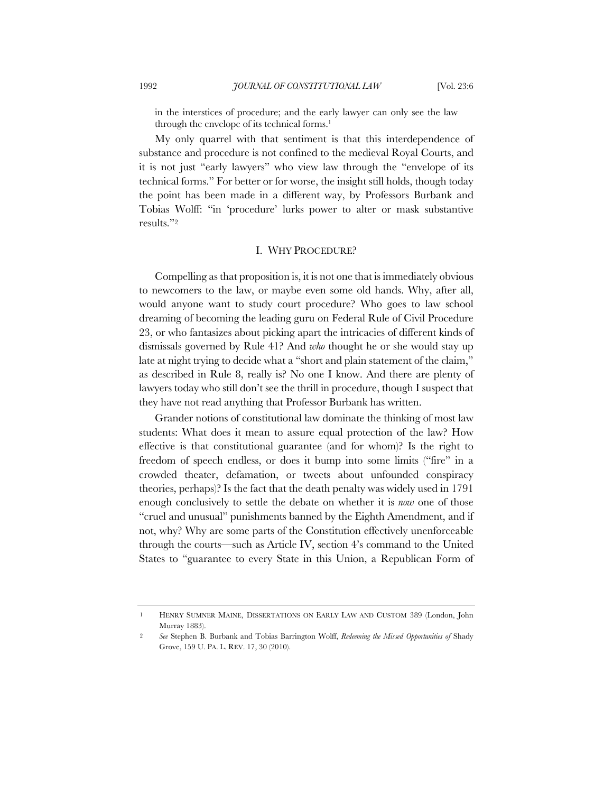in the interstices of procedure; and the early lawyer can only see the law through the envelope of its technical forms.1

My only quarrel with that sentiment is that this interdependence of substance and procedure is not confined to the medieval Royal Courts, and it is not just "early lawyers" who view law through the "envelope of its technical forms." For better or for worse, the insight still holds, though today the point has been made in a different way, by Professors Burbank and Tobias Wolff: "in 'procedure' lurks power to alter or mask substantive results."2

#### I. WHY PROCEDURE?

Compelling as that proposition is, it is not one that is immediately obvious to newcomers to the law, or maybe even some old hands. Why, after all, would anyone want to study court procedure? Who goes to law school dreaming of becoming the leading guru on Federal Rule of Civil Procedure 23, or who fantasizes about picking apart the intricacies of different kinds of dismissals governed by Rule 41? And *who* thought he or she would stay up late at night trying to decide what a "short and plain statement of the claim," as described in Rule 8, really is? No one I know. And there are plenty of lawyers today who still don't see the thrill in procedure, though I suspect that they have not read anything that Professor Burbank has written.

Grander notions of constitutional law dominate the thinking of most law students: What does it mean to assure equal protection of the law? How effective is that constitutional guarantee (and for whom)? Is the right to freedom of speech endless, or does it bump into some limits ("fire" in a crowded theater, defamation, or tweets about unfounded conspiracy theories, perhaps)? Is the fact that the death penalty was widely used in 1791 enough conclusively to settle the debate on whether it is *now* one of those "cruel and unusual" punishments banned by the Eighth Amendment, and if not, why? Why are some parts of the Constitution effectively unenforceable through the courts—such as Article IV, section 4's command to the United States to "guarantee to every State in this Union, a Republican Form of

<sup>1</sup> HENRY SUMNER MAINE, DISSERTATIONS ON EARLY LAW AND CUSTOM 389 (London, John Murray 1883).

<sup>2</sup> *See* Stephen B. Burbank and Tobias Barrington Wolff, *Redeeming the Missed Opportunities of* Shady Grove, 159 U. PA. L. REV. 17, 30 (2010).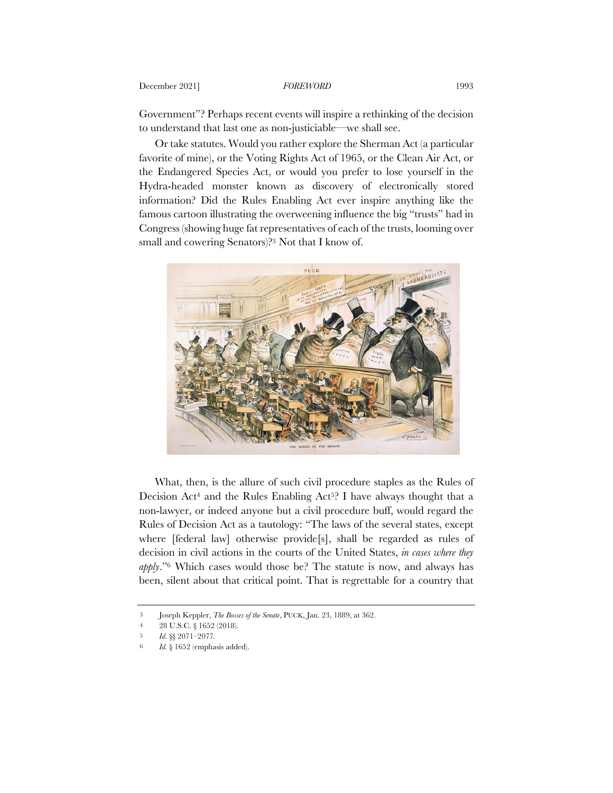## December 2021] **FOREWORD** 1993

Government"? Perhaps recent events will inspire a rethinking of the decision to understand that last one as non-justiciable—we shall see.

Or take statutes. Would you rather explore the Sherman Act (a particular favorite of mine), or the Voting Rights Act of 1965, or the Clean Air Act, or the Endangered Species Act, or would you prefer to lose yourself in the Hydra-headed monster known as discovery of electronically stored information? Did the Rules Enabling Act ever inspire anything like the famous cartoon illustrating the overweening influence the big "trusts" had in Congress (showing huge fat representatives of each of the trusts, looming over small and cowering Senators)?3 Not that I know of.



What, then, is the allure of such civil procedure staples as the Rules of Decision Act<sup>4</sup> and the Rules Enabling Act<sup>52</sup>. I have always thought that a non-lawyer, or indeed anyone but a civil procedure buff, would regard the Rules of Decision Act as a tautology: "The laws of the several states, except where [federal law] otherwise provide[s], shall be regarded as rules of decision in civil actions in the courts of the United States, *in cases where they apply*."6 Which cases would those be? The statute is now, and always has been, silent about that critical point. That is regrettable for a country that

<sup>3</sup> Joseph Keppler, *The Bosses of the Senate*, PUCK, Jan. 23, 1889, at 362.

<sup>4</sup> 28 U.S.C. § 1652 (2018).

<sup>5</sup> *Id.* §§ 2071–2077*.*

<sup>6</sup> *Id.* § 1652 (emphasis added).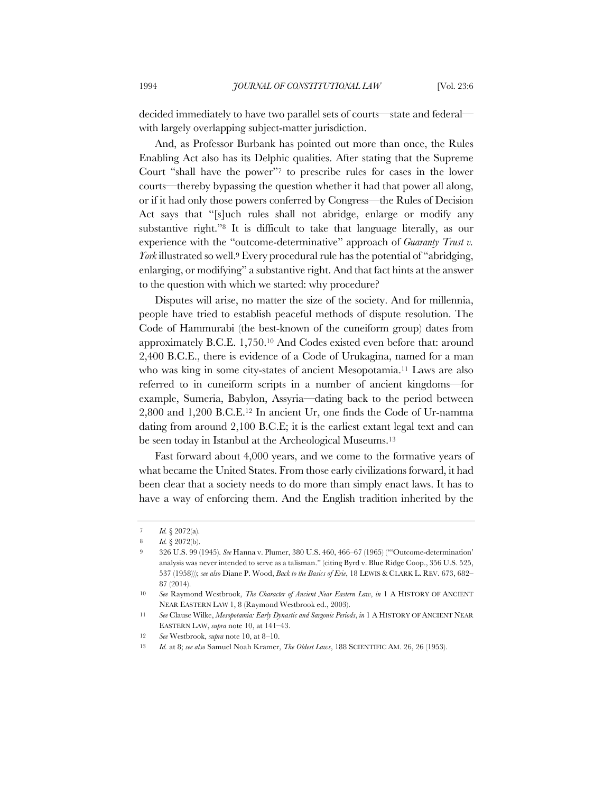decided immediately to have two parallel sets of courts—state and federal with largely overlapping subject-matter jurisdiction.

And, as Professor Burbank has pointed out more than once, the Rules Enabling Act also has its Delphic qualities. After stating that the Supreme Court "shall have the power"7 to prescribe rules for cases in the lower courts—thereby bypassing the question whether it had that power all along, or if it had only those powers conferred by Congress—the Rules of Decision Act says that "[s]uch rules shall not abridge, enlarge or modify any substantive right."8 It is difficult to take that language literally, as our experience with the "outcome-determinative" approach of *Guaranty Trust v. York*illustrated so well.9 Every procedural rule has the potential of "abridging, enlarging, or modifying" a substantive right. And that fact hints at the answer to the question with which we started: why procedure?

Disputes will arise, no matter the size of the society. And for millennia, people have tried to establish peaceful methods of dispute resolution. The Code of Hammurabi (the best-known of the cuneiform group) dates from approximately B.C.E. 1,750.10 And Codes existed even before that: around 2,400 B.C.E., there is evidence of a Code of Urukagina, named for a man who was king in some city-states of ancient Mesopotamia.11 Laws are also referred to in cuneiform scripts in a number of ancient kingdoms—for example, Sumeria, Babylon, Assyria—dating back to the period between 2,800 and 1,200 B.C.E.12 In ancient Ur, one finds the Code of Ur-namma dating from around 2,100 B.C.E; it is the earliest extant legal text and can be seen today in Istanbul at the Archeological Museums.13

Fast forward about 4,000 years, and we come to the formative years of what became the United States. From those early civilizations forward, it had been clear that a society needs to do more than simply enact laws. It has to have a way of enforcing them. And the English tradition inherited by the

<sup>7</sup> *Id.* § 2072(a).

<sup>8</sup> *Id.* § 2072(b).

<sup>9</sup> 326 U.S. 99 (1945). *See* Hanna v. Plumer, 380 U.S. 460, 466–67 (1965) ("'Outcome-determination' analysis was never intended to serve as a talisman." (citing Byrd v. Blue Ridge Coop., 356 U.S. 525, 537 (1958))); *see also* Diane P. Wood, *Back to the Basics of Erie*, 18 LEWIS & CLARK L. REV. 673, 682– 87 (2014).

<sup>10</sup> *See* Raymond Westbrook, *The Character of Ancient Near Eastern Law*, *in* 1 A HISTORY OF ANCIENT NEAR EASTERN LAW 1, 8 (Raymond Westbrook ed., 2003).

<sup>11</sup> *See* Clause Wilke, *Mesopotamia: Early Dynastic and Sargonic Periods*, *in* 1 A HISTORY OF ANCIENT NEAR EASTERN LAW, *supra* note 10, at 141–43.

<sup>12</sup> *See* Westbrook, *supra* note 10, at 8–10.

<sup>13</sup> *Id.* at 8; *see also* Samuel Noah Kramer, *The Oldest Laws*, 188 SCIENTIFIC AM. 26, 26 (1953).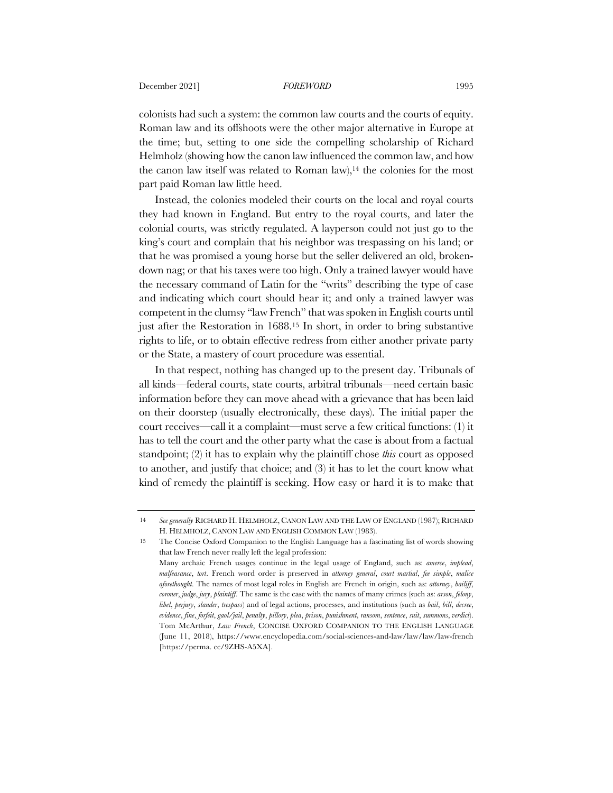#### **December 2021]** *FOREWORD* 1995

colonists had such a system: the common law courts and the courts of equity. Roman law and its offshoots were the other major alternative in Europe at the time; but, setting to one side the compelling scholarship of Richard Helmholz (showing how the canon law influenced the common law, and how the canon law itself was related to Roman law),<sup>14</sup> the colonies for the most part paid Roman law little heed.

Instead, the colonies modeled their courts on the local and royal courts they had known in England. But entry to the royal courts, and later the colonial courts, was strictly regulated. A layperson could not just go to the king's court and complain that his neighbor was trespassing on his land; or that he was promised a young horse but the seller delivered an old, brokendown nag; or that his taxes were too high. Only a trained lawyer would have the necessary command of Latin for the "writs" describing the type of case and indicating which court should hear it; and only a trained lawyer was competent in the clumsy "law French" that was spoken in English courts until just after the Restoration in 1688.<sup>15</sup> In short, in order to bring substantive rights to life, or to obtain effective redress from either another private party or the State, a mastery of court procedure was essential.

In that respect, nothing has changed up to the present day. Tribunals of all kinds—federal courts, state courts, arbitral tribunals—need certain basic information before they can move ahead with a grievance that has been laid on their doorstep (usually electronically, these days). The initial paper the court receives—call it a complaint—must serve a few critical functions: (1) it has to tell the court and the other party what the case is about from a factual standpoint; (2) it has to explain why the plaintiff chose *this* court as opposed to another, and justify that choice; and (3) it has to let the court know what kind of remedy the plaintiff is seeking. How easy or hard it is to make that

<sup>14</sup> *See generally* RICHARD H. HELMHOLZ, CANON LAW AND THE LAW OF ENGLAND (1987); RICHARD H. HELMHOLZ, CANON LAW AND ENGLISH COMMON LAW (1983).

<sup>15</sup> The Concise Oxford Companion to the English Language has a fascinating list of words showing that law French never really left the legal profession: Many archaic French usages continue in the legal usage of England, such as: *amerce*, *implead*, *malfeasance*, *tort*. French word order is preserved in *attorney general*, *court martial*, *fee simple*, *malice aforethought*. The names of most legal roles in English are French in origin, such as: *attorney*, *bailiff*,

*coroner*, *judge*, *jury*, *plaintiff*. The same is the case with the names of many crimes (such as: *arson*, *felony*, *libel*, *perjury*, *slander*, *trespass*) and of legal actions, processes, and institutions (such as *bail*, *bill*, *decree*, *evidence*, *fine*, *forfeit*, *gaol/jail*, *penalty*, *pillory*, *plea*, *prison*, *punishment*, *ransom*, *sentence*, *suit*, *summons*, *verdict*). Tom McArthur, *Law French*, CONCISE OXFORD COMPANION TO THE ENGLISH LANGUAGE (June 11, 2018), https://www.encyclopedia.com/social-sciences-and-law/law/law/law-french [https://perma. cc/9ZHS-A5XA].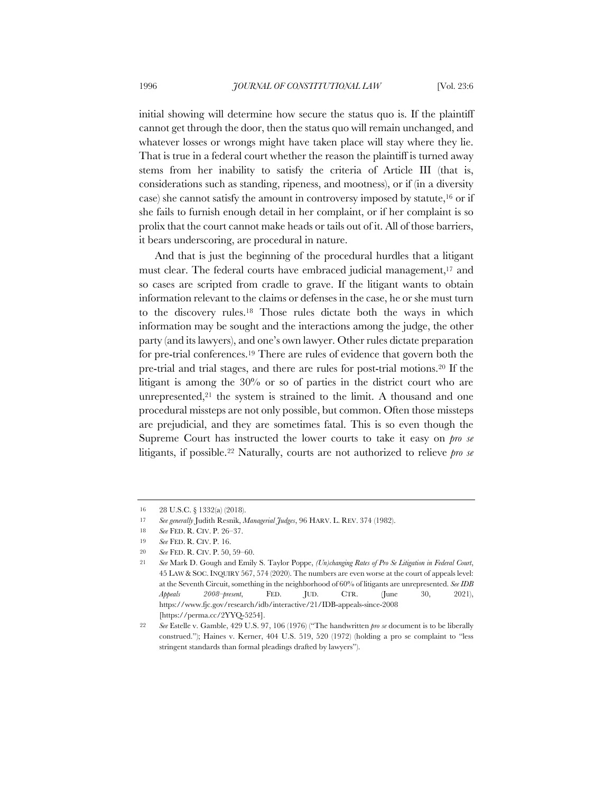initial showing will determine how secure the status quo is. If the plaintiff cannot get through the door, then the status quo will remain unchanged, and whatever losses or wrongs might have taken place will stay where they lie. That is true in a federal court whether the reason the plaintiff is turned away stems from her inability to satisfy the criteria of Article III (that is, considerations such as standing, ripeness, and mootness), or if (in a diversity case) she cannot satisfy the amount in controversy imposed by statute,16 or if she fails to furnish enough detail in her complaint, or if her complaint is so prolix that the court cannot make heads or tails out of it. All of those barriers, it bears underscoring, are procedural in nature.

And that is just the beginning of the procedural hurdles that a litigant must clear. The federal courts have embraced judicial management,<sup>17</sup> and so cases are scripted from cradle to grave. If the litigant wants to obtain information relevant to the claims or defenses in the case, he or she must turn to the discovery rules.18 Those rules dictate both the ways in which information may be sought and the interactions among the judge, the other party (and its lawyers), and one's own lawyer. Other rules dictate preparation for pre-trial conferences.19 There are rules of evidence that govern both the pre-trial and trial stages, and there are rules for post-trial motions.20 If the litigant is among the 30% or so of parties in the district court who are unrepresented, $21$  the system is strained to the limit. A thousand and one procedural missteps are not only possible, but common. Often those missteps are prejudicial, and they are sometimes fatal. This is so even though the Supreme Court has instructed the lower courts to take it easy on *pro se* litigants, if possible.22 Naturally, courts are not authorized to relieve *pro se* 

<sup>16</sup> 28 U.S.C. § 1332(a) (2018).

<sup>17</sup> *See generally* Judith Resnik, *Managerial Judges*, 96 HARV. L. REV. 374 (1982).

<sup>18</sup> *See* FED. R. CIV. P. 26–37.

<sup>19</sup> *See* FED. R. CIV. P. 16.

<sup>20</sup> *See* FED. R. CIV. P. 50, 59–60.

<sup>21</sup> *See* Mark D. Gough and Emily S. Taylor Poppe, *(Un)changing Rates of Pro Se Litigation in Federal Court*, 45 LAW & SOC.INQUIRY 567, 574 (2020). The numbers are even worse at the court of appeals level: at the Seventh Circuit, something in the neighborhood of 60% of litigants are unrepresented. *See IDB Appeals 2008–present*, FED. JUD. CTR. (June 30, 2021), https://www.fjc.gov/research/idb/interactive/21/IDB-appeals-since-2008 [https://perma.cc/2YYQ-5254].

<sup>22</sup> *See* Estelle v. Gamble, 429 U.S. 97, 106 (1976) ("The handwritten *pro se* document is to be liberally construed."); Haines v. Kerner, 404 U.S. 519, 520 (1972) (holding a pro se complaint to "less stringent standards than formal pleadings drafted by lawyers").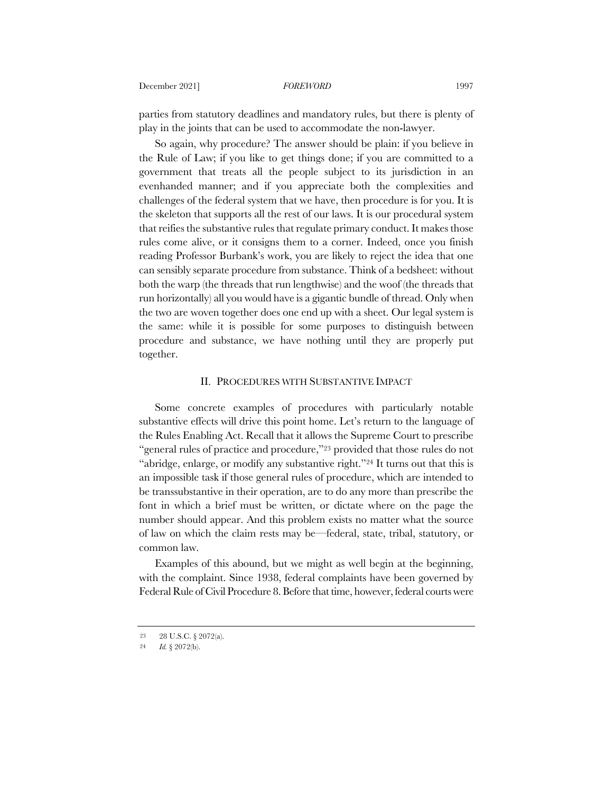parties from statutory deadlines and mandatory rules, but there is plenty of play in the joints that can be used to accommodate the non-lawyer.

So again, why procedure? The answer should be plain: if you believe in the Rule of Law; if you like to get things done; if you are committed to a government that treats all the people subject to its jurisdiction in an evenhanded manner; and if you appreciate both the complexities and challenges of the federal system that we have, then procedure is for you. It is the skeleton that supports all the rest of our laws. It is our procedural system that reifies the substantive rules that regulate primary conduct. It makes those rules come alive, or it consigns them to a corner. Indeed, once you finish reading Professor Burbank's work, you are likely to reject the idea that one can sensibly separate procedure from substance. Think of a bedsheet: without both the warp (the threads that run lengthwise) and the woof (the threads that run horizontally) all you would have is a gigantic bundle of thread. Only when the two are woven together does one end up with a sheet. Our legal system is the same: while it is possible for some purposes to distinguish between procedure and substance, we have nothing until they are properly put together.

### II. PROCEDURES WITH SUBSTANTIVE IMPACT

Some concrete examples of procedures with particularly notable substantive effects will drive this point home. Let's return to the language of the Rules Enabling Act. Recall that it allows the Supreme Court to prescribe "general rules of practice and procedure,"23 provided that those rules do not "abridge, enlarge, or modify any substantive right."24 It turns out that this is an impossible task if those general rules of procedure, which are intended to be transsubstantive in their operation, are to do any more than prescribe the font in which a brief must be written, or dictate where on the page the number should appear. And this problem exists no matter what the source of law on which the claim rests may be—federal, state, tribal, statutory, or common law.

Examples of this abound, but we might as well begin at the beginning, with the complaint. Since 1938, federal complaints have been governed by Federal Rule of Civil Procedure 8. Before that time, however, federal courts were

<sup>23</sup> 28 U.S.C. § 2072(a).

<sup>24</sup> *Id.* § 2072(b).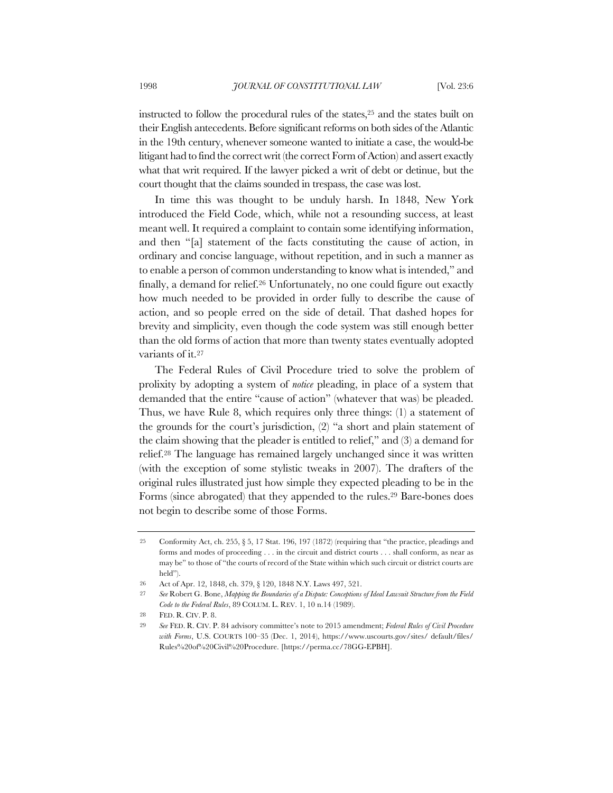instructed to follow the procedural rules of the states,25 and the states built on their English antecedents. Before significant reforms on both sides of the Atlantic in the 19th century, whenever someone wanted to initiate a case, the would-be litigant had to find the correct writ (the correct Form of Action) and assert exactly what that writ required. If the lawyer picked a writ of debt or detinue, but the court thought that the claims sounded in trespass, the case was lost.

In time this was thought to be unduly harsh. In 1848, New York introduced the Field Code, which, while not a resounding success, at least meant well. It required a complaint to contain some identifying information, and then "[a] statement of the facts constituting the cause of action, in ordinary and concise language, without repetition, and in such a manner as to enable a person of common understanding to know what is intended," and finally, a demand for relief.26 Unfortunately, no one could figure out exactly how much needed to be provided in order fully to describe the cause of action, and so people erred on the side of detail. That dashed hopes for brevity and simplicity, even though the code system was still enough better than the old forms of action that more than twenty states eventually adopted variants of it.27

The Federal Rules of Civil Procedure tried to solve the problem of prolixity by adopting a system of *notice* pleading, in place of a system that demanded that the entire "cause of action" (whatever that was) be pleaded. Thus, we have Rule 8, which requires only three things: (1) a statement of the grounds for the court's jurisdiction, (2) "a short and plain statement of the claim showing that the pleader is entitled to relief," and (3) a demand for relief.28 The language has remained largely unchanged since it was written (with the exception of some stylistic tweaks in 2007). The drafters of the original rules illustrated just how simple they expected pleading to be in the Forms (since abrogated) that they appended to the rules.29 Bare-bones does not begin to describe some of those Forms.

<sup>25</sup> Conformity Act, ch. 255, § 5, 17 Stat. 196, 197 (1872) (requiring that "the practice, pleadings and forms and modes of proceeding . . . in the circuit and district courts . . . shall conform, as near as may be" to those of "the courts of record of the State within which such circuit or district courts are held").

<sup>26</sup> Act of Apr. 12, 1848, ch. 379, § 120, 1848 N.Y. Laws 497, 521.

<sup>27</sup> *See* Robert G. Bone, *Mapping the Boundaries of a Dispute: Conceptions of Ideal Lawsuit Structure from the Field Code to the Federal Rules*, 89 COLUM. L. REV. 1, 10 n.14 (1989).

<sup>28</sup> FED. R. CIV. P. 8.

<sup>29</sup> *See* FED. R. CIV. P. 84 advisory committee's note to 2015 amendment; *Federal Rules of Civil Procedure with Forms*, U.S. COURTS 100–35 (Dec. 1, 2014), https://www.uscourts.gov/sites/ default/files/ Rules%20of%20Civil%20Procedure. [https://perma.cc/78GG-EPBH].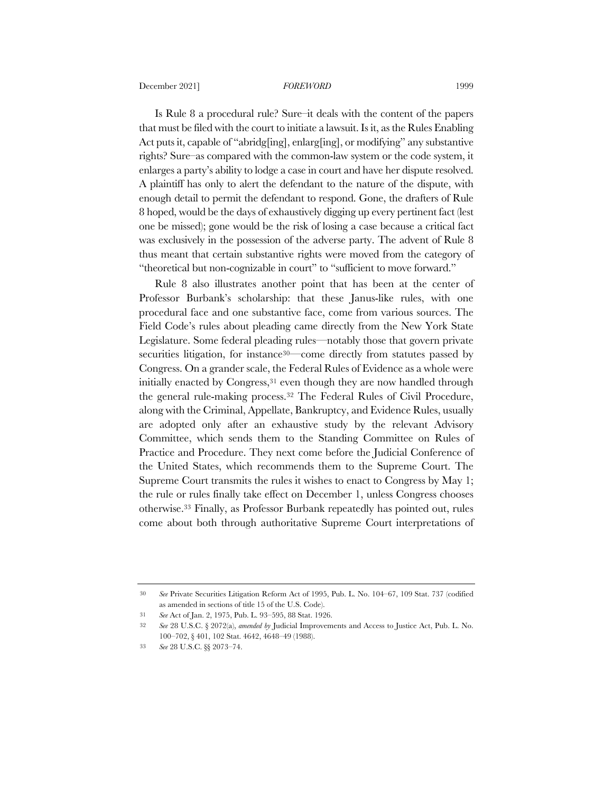Is Rule 8 a procedural rule? Sure–it deals with the content of the papers that must be filed with the court to initiate a lawsuit. Is it, as the Rules Enabling Act puts it, capable of "abridg[ing], enlarg[ing], or modifying" any substantive rights? Sure–as compared with the common-law system or the code system, it enlarges a party's ability to lodge a case in court and have her dispute resolved. A plaintiff has only to alert the defendant to the nature of the dispute, with enough detail to permit the defendant to respond. Gone, the drafters of Rule 8 hoped, would be the days of exhaustively digging up every pertinent fact (lest one be missed); gone would be the risk of losing a case because a critical fact was exclusively in the possession of the adverse party. The advent of Rule 8 thus meant that certain substantive rights were moved from the category of "theoretical but non-cognizable in court" to "sufficient to move forward."

Rule 8 also illustrates another point that has been at the center of Professor Burbank's scholarship: that these Janus-like rules, with one procedural face and one substantive face, come from various sources. The Field Code's rules about pleading came directly from the New York State Legislature. Some federal pleading rules—notably those that govern private securities litigation, for instance<sup>30—</sup>come directly from statutes passed by Congress. On a grander scale, the Federal Rules of Evidence as a whole were initially enacted by Congress,<sup>31</sup> even though they are now handled through the general rule-making process.32 The Federal Rules of Civil Procedure, along with the Criminal, Appellate, Bankruptcy, and Evidence Rules, usually are adopted only after an exhaustive study by the relevant Advisory Committee, which sends them to the Standing Committee on Rules of Practice and Procedure. They next come before the Judicial Conference of the United States, which recommends them to the Supreme Court. The Supreme Court transmits the rules it wishes to enact to Congress by May 1; the rule or rules finally take effect on December 1, unless Congress chooses otherwise.33 Finally, as Professor Burbank repeatedly has pointed out, rules come about both through authoritative Supreme Court interpretations of

<sup>30</sup> *See* Private Securities Litigation Reform Act of 1995, Pub. L. No. 104–67, 109 Stat. 737 (codified as amended in sections of title 15 of the U.S. Code).

<sup>31</sup> *See* Act of Jan. 2, 1975, Pub. L. 93–595, 88 Stat. 1926.

<sup>32</sup> *See* 28 U.S.C. § 2072(a), *amended by* Judicial Improvements and Access to Justice Act, Pub. L. No. 100–702, § 401, 102 Stat. 4642, 4648–49 (1988).

<sup>33</sup> *See* 28 U.S.C. §§ 2073–74.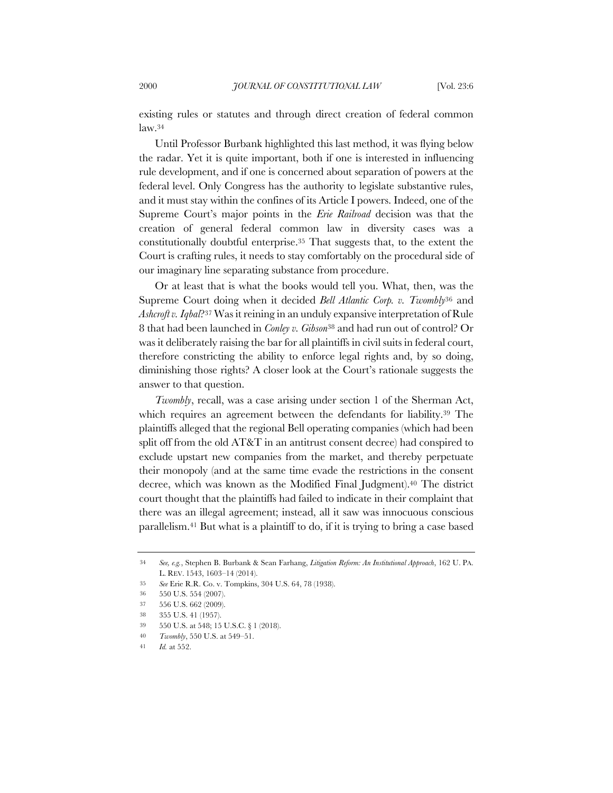existing rules or statutes and through direct creation of federal common law.34

Until Professor Burbank highlighted this last method, it was flying below the radar. Yet it is quite important, both if one is interested in influencing rule development, and if one is concerned about separation of powers at the federal level. Only Congress has the authority to legislate substantive rules, and it must stay within the confines of its Article I powers. Indeed, one of the Supreme Court's major points in the *Erie Railroad* decision was that the creation of general federal common law in diversity cases was a constitutionally doubtful enterprise.35 That suggests that, to the extent the Court is crafting rules, it needs to stay comfortably on the procedural side of our imaginary line separating substance from procedure.

Or at least that is what the books would tell you. What, then, was the Supreme Court doing when it decided *Bell Atlantic Corp. v. Twombly*<sup>36</sup> and *Ashcroft v. Iqbal*?37 Was it reining in an unduly expansive interpretation of Rule 8 that had been launched in *Conley v. Gibson*<sup>38</sup> and had run out of control? Or was it deliberately raising the bar for all plaintiffs in civil suits in federal court, therefore constricting the ability to enforce legal rights and, by so doing, diminishing those rights? A closer look at the Court's rationale suggests the answer to that question.

*Twombly*, recall, was a case arising under section 1 of the Sherman Act, which requires an agreement between the defendants for liability.39 The plaintiffs alleged that the regional Bell operating companies (which had been split off from the old AT&T in an antitrust consent decree) had conspired to exclude upstart new companies from the market, and thereby perpetuate their monopoly (and at the same time evade the restrictions in the consent decree, which was known as the Modified Final Judgment).40 The district court thought that the plaintiffs had failed to indicate in their complaint that there was an illegal agreement; instead, all it saw was innocuous conscious parallelism.41 But what is a plaintiff to do, if it is trying to bring a case based

<sup>34</sup> *See, e.g.*, Stephen B. Burbank & Sean Farhang, *Litigation Reform: An Institutional Approach*, 162 U. PA. L. REV. 1543, 1603–14 (2014).

<sup>35</sup> *See* Erie R.R. Co. v. Tompkins, 304 U.S. 64, 78 (1938).

<sup>36</sup> 550 U.S. 554 (2007).

<sup>37</sup> 556 U.S. 662 (2009).

<sup>38</sup> 355 U.S. 41 (1957).

<sup>39</sup> 550 U.S. at 548; 15 U.S.C. § 1 (2018).

<sup>40</sup> *Twombly*, 550 U.S. at 549–51.

<sup>41</sup> *Id.* at 552.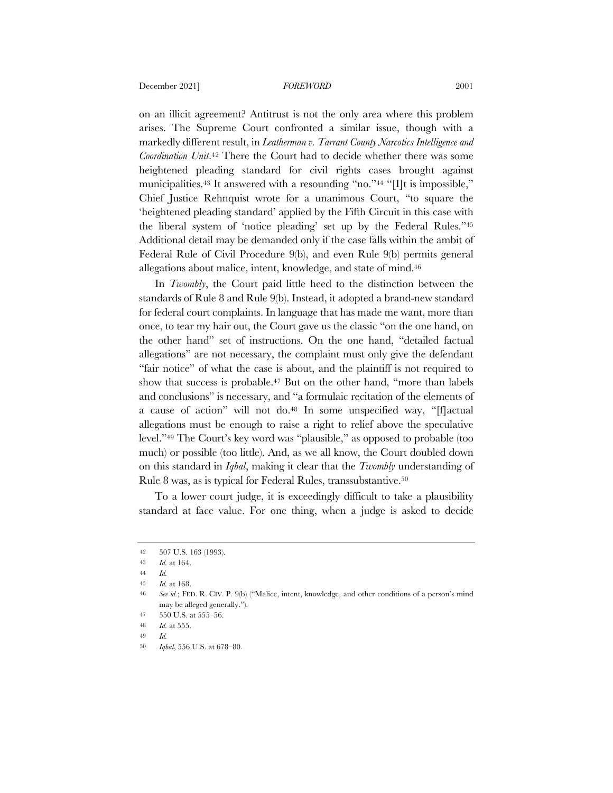on an illicit agreement? Antitrust is not the only area where this problem arises. The Supreme Court confronted a similar issue, though with a markedly different result, in *Leatherman v. Tarrant County Narcotics Intelligence and Coordination Unit*.42 There the Court had to decide whether there was some heightened pleading standard for civil rights cases brought against municipalities.<sup>43</sup> It answered with a resounding "no."<sup>44</sup> "[I]t is impossible," Chief Justice Rehnquist wrote for a unanimous Court, "to square the 'heightened pleading standard' applied by the Fifth Circuit in this case with the liberal system of 'notice pleading' set up by the Federal Rules."45 Additional detail may be demanded only if the case falls within the ambit of Federal Rule of Civil Procedure 9(b), and even Rule 9(b) permits general allegations about malice, intent, knowledge, and state of mind.46

In *Twombly*, the Court paid little heed to the distinction between the standards of Rule 8 and Rule 9(b). Instead, it adopted a brand-new standard for federal court complaints. In language that has made me want, more than once, to tear my hair out, the Court gave us the classic "on the one hand, on the other hand" set of instructions. On the one hand, "detailed factual allegations" are not necessary, the complaint must only give the defendant "fair notice" of what the case is about, and the plaintiff is not required to show that success is probable.<sup>47</sup> But on the other hand, "more than labels and conclusions" is necessary, and "a formulaic recitation of the elements of a cause of action" will not do.48 In some unspecified way, "[f]actual allegations must be enough to raise a right to relief above the speculative level."49 The Court's key word was "plausible," as opposed to probable (too much) or possible (too little). And, as we all know, the Court doubled down on this standard in *Iqbal*, making it clear that the *Twombly* understanding of Rule 8 was, as is typical for Federal Rules, transsubstantive.50

To a lower court judge, it is exceedingly difficult to take a plausibility standard at face value. For one thing, when a judge is asked to decide

<sup>42</sup> 507 U.S. 163 (1993).

<sup>43</sup> *Id.* at 164.

<sup>44</sup> *Id.*

<sup>45</sup> *Id.* at 168.

<sup>46</sup> *See id.*; FED. R. CIV. P. 9(b) ("Malice, intent, knowledge, and other conditions of a person's mind may be alleged generally.").

<sup>47</sup> 550 U.S. at 555–56.

<sup>48</sup> *Id.* at 555.

<sup>49</sup> *Id.*

<sup>50</sup> *Iqbal*, 556 U.S. at 678–80.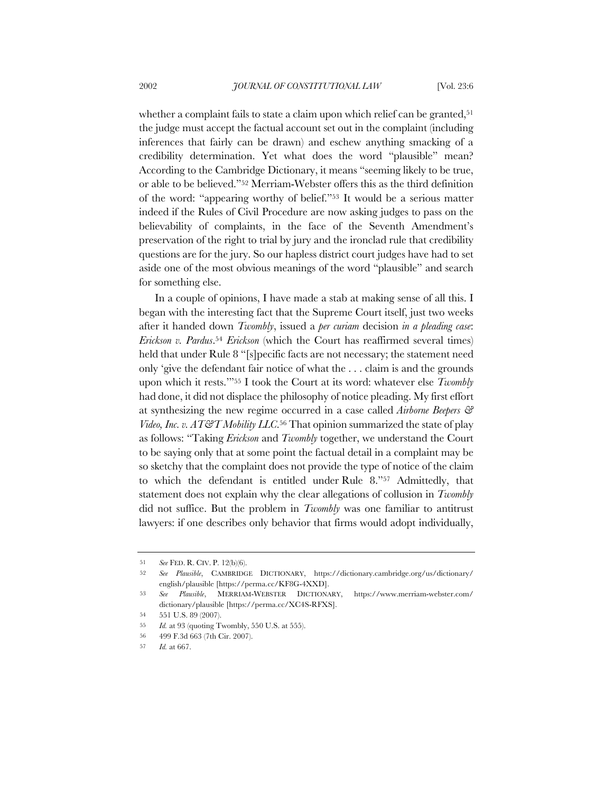whether a complaint fails to state a claim upon which relief can be granted,<sup>51</sup> the judge must accept the factual account set out in the complaint (including inferences that fairly can be drawn) and eschew anything smacking of a credibility determination. Yet what does the word "plausible" mean? According to the Cambridge Dictionary, it means "seeming likely to be true, or able to be believed."52 Merriam-Webster offers this as the third definition of the word: "appearing worthy of belief."53 It would be a serious matter indeed if the Rules of Civil Procedure are now asking judges to pass on the believability of complaints, in the face of the Seventh Amendment's preservation of the right to trial by jury and the ironclad rule that credibility questions are for the jury. So our hapless district court judges have had to set aside one of the most obvious meanings of the word "plausible" and search for something else.

In a couple of opinions, I have made a stab at making sense of all this. I began with the interesting fact that the Supreme Court itself, just two weeks after it handed down *Twombly*, issued a *per curiam* decision *in a pleading case*: *Erickson v. Pardus*.54 *Erickson* (which the Court has reaffirmed several times) held that under Rule 8 "[s]pecific facts are not necessary; the statement need only 'give the defendant fair notice of what the . . . claim is and the grounds upon which it rests.'"55 I took the Court at its word: whatever else *Twombly* had done, it did not displace the philosophy of notice pleading. My first effort at synthesizing the new regime occurred in a case called *Airborne Beepers & Video, Inc. v. AT&T Mobility LLC*.56 That opinion summarized the state of play as follows: "Taking *Erickson* and *Twombly* together, we understand the Court to be saying only that at some point the factual detail in a complaint may be so sketchy that the complaint does not provide the type of notice of the claim to which the defendant is entitled under Rule 8."57 Admittedly, that statement does not explain why the clear allegations of collusion in *Twombly* did not suffice. But the problem in *Twombly* was one familiar to antitrust lawyers: if one describes only behavior that firms would adopt individually,

<sup>51</sup> *See* FED. R. CIV. P. 12(b)(6).

<sup>52</sup> *See Plausible*, CAMBRIDGE DICTIONARY, https://dictionary.cambridge.org/us/dictionary/ english/plausible [https://perma.cc/KF8G-4XXD].

<sup>53</sup> *See Plausible*, MERRIAM-WEBSTER DICTIONARY, https://www.merriam-webster.com/ dictionary/plausible [https://perma.cc/XC4S-RFXS].

<sup>54</sup> 551 U.S. 89 (2007).

<sup>55</sup> *Id.* at 93 (quoting Twombly, 550 U.S. at 555).

<sup>56</sup> 499 F.3d 663 (7th Cir. 2007).

<sup>57</sup> *Id.* at 667.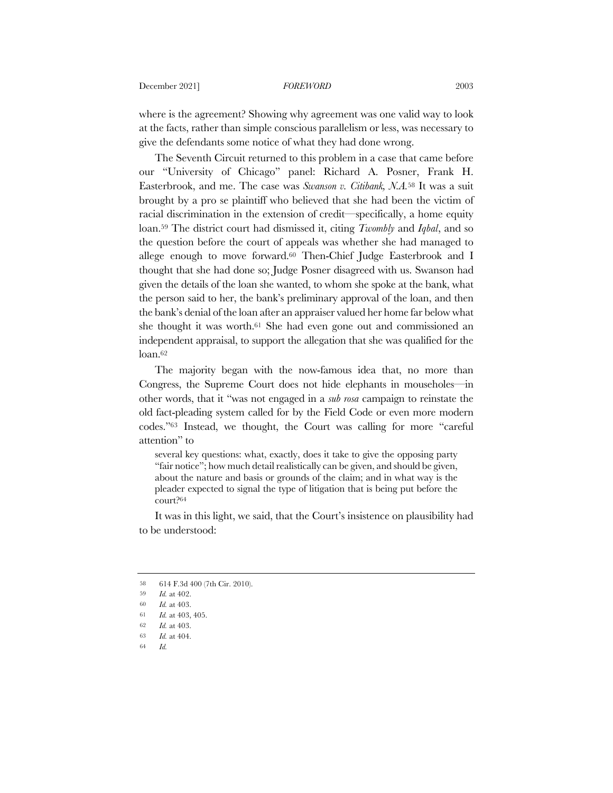where is the agreement? Showing why agreement was one valid way to look at the facts, rather than simple conscious parallelism or less, was necessary to give the defendants some notice of what they had done wrong.

The Seventh Circuit returned to this problem in a case that came before our "University of Chicago" panel: Richard A. Posner, Frank H. Easterbrook, and me. The case was *Swanson v. Citibank, N.A.*<sup>58</sup> It was a suit brought by a pro se plaintiff who believed that she had been the victim of racial discrimination in the extension of credit—specifically, a home equity loan.59 The district court had dismissed it, citing *Twombly* and *Iqbal*, and so the question before the court of appeals was whether she had managed to allege enough to move forward.60 Then-Chief Judge Easterbrook and I thought that she had done so; Judge Posner disagreed with us. Swanson had given the details of the loan she wanted, to whom she spoke at the bank, what the person said to her, the bank's preliminary approval of the loan, and then the bank's denial of the loan after an appraiser valued her home far below what she thought it was worth.61 She had even gone out and commissioned an independent appraisal, to support the allegation that she was qualified for the loan.62

The majority began with the now-famous idea that, no more than Congress, the Supreme Court does not hide elephants in mouseholes—in other words, that it "was not engaged in a *sub rosa* campaign to reinstate the old fact-pleading system called for by the Field Code or even more modern codes."63 Instead, we thought, the Court was calling for more "careful attention" to

several key questions: what, exactly, does it take to give the opposing party "fair notice"; how much detail realistically can be given, and should be given, about the nature and basis or grounds of the claim; and in what way is the pleader expected to signal the type of litigation that is being put before the court?64

It was in this light, we said, that the Court's insistence on plausibility had to be understood:

<sup>58</sup> 614 F.3d 400 (7th Cir. 2010).

<sup>59</sup> *Id.* at 402.

<sup>60</sup> *Id.* at 403.

<sup>61</sup> *Id.* at 403, 405.

<sup>62</sup> *Id.* at 403.

<sup>63</sup> *Id.* at 404.

<sup>64</sup> *Id.*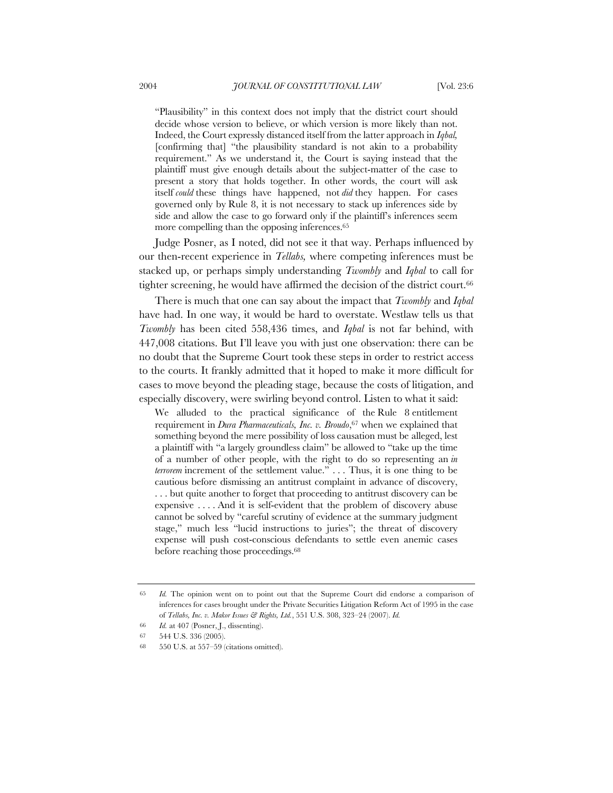"Plausibility" in this context does not imply that the district court should decide whose version to believe, or which version is more likely than not. Indeed, the Court expressly distanced itself from the latter approach in *Iqbal,*  [confirming that] "the plausibility standard is not akin to a probability requirement." As we understand it, the Court is saying instead that the plaintiff must give enough details about the subject-matter of the case to present a story that holds together. In other words, the court will ask itself *could* these things have happened, not *did* they happen. For cases governed only by Rule 8, it is not necessary to stack up inferences side by side and allow the case to go forward only if the plaintiff's inferences seem more compelling than the opposing inferences.<sup>65</sup>

Judge Posner, as I noted, did not see it that way. Perhaps influenced by our then-recent experience in *Tellabs,* where competing inferences must be stacked up, or perhaps simply understanding *Twombly* and *Iqbal* to call for tighter screening, he would have affirmed the decision of the district court.66

There is much that one can say about the impact that *Twombly* and *Iqbal* have had. In one way, it would be hard to overstate. Westlaw tells us that *Twombly* has been cited 558,436 times, and *Iqbal* is not far behind, with 447,008 citations. But I'll leave you with just one observation: there can be no doubt that the Supreme Court took these steps in order to restrict access to the courts. It frankly admitted that it hoped to make it more difficult for cases to move beyond the pleading stage, because the costs of litigation, and especially discovery, were swirling beyond control. Listen to what it said:

We alluded to the practical significance of the Rule 8 entitlement requirement in *Dura Pharmaceuticals, Inc. v. Broudo*,67 when we explained that something beyond the mere possibility of loss causation must be alleged, lest a plaintiff with "a largely groundless claim" be allowed to "take up the time of a number of other people, with the right to do so representing an *in terrorem* increment of the settlement value." . . . Thus, it is one thing to be cautious before dismissing an antitrust complaint in advance of discovery, . . . but quite another to forget that proceeding to antitrust discovery can be expensive . . . . And it is self-evident that the problem of discovery abuse cannot be solved by "careful scrutiny of evidence at the summary judgment stage," much less "lucid instructions to juries"; the threat of discovery expense will push cost-conscious defendants to settle even anemic cases before reaching those proceedings.<sup>68</sup>

<sup>65</sup> *Id.* The opinion went on to point out that the Supreme Court did endorse a comparison of inferences for cases brought under the Private Securities Litigation Reform Act of 1995 in the case of *Tellabs, Inc. v. Makor Issues & Rights, Ltd.*, 551 U.S. 308, 323–24 (2007). *Id.*

<sup>66</sup> *Id.* at 407 (Posner, J., dissenting).

<sup>67</sup> 544 U.S. 336 (2005).

<sup>68</sup> 550 U.S. at 557–59 (citations omitted).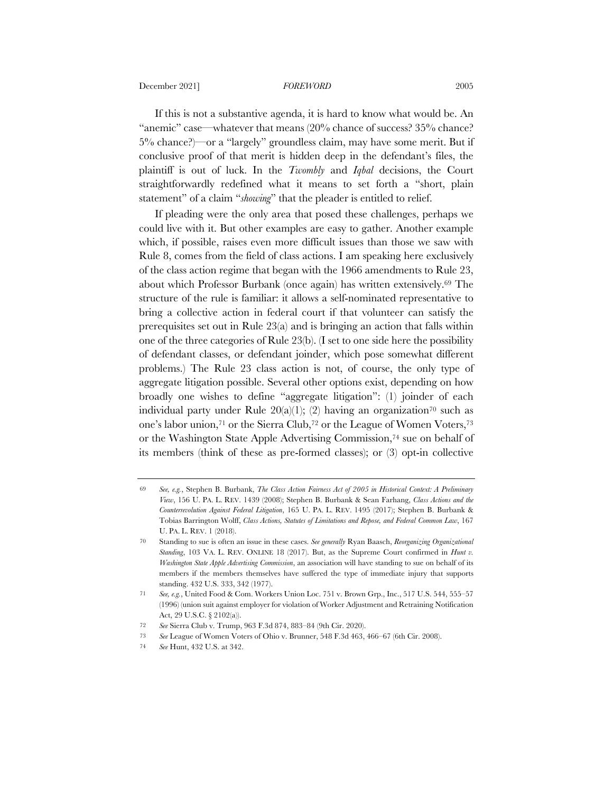December 2021] *FOREWORD* 2005

If this is not a substantive agenda, it is hard to know what would be. An "anemic" case—whatever that means (20% chance of success? 35% chance? 5% chance?)—or a "largely" groundless claim, may have some merit. But if conclusive proof of that merit is hidden deep in the defendant's files, the plaintiff is out of luck. In the *Twombly* and *Iqbal* decisions, the Court straightforwardly redefined what it means to set forth a "short, plain statement" of a claim "*showing*" that the pleader is entitled to relief.

If pleading were the only area that posed these challenges, perhaps we could live with it. But other examples are easy to gather. Another example which, if possible, raises even more difficult issues than those we saw with Rule 8, comes from the field of class actions. I am speaking here exclusively of the class action regime that began with the 1966 amendments to Rule 23, about which Professor Burbank (once again) has written extensively.69 The structure of the rule is familiar: it allows a self-nominated representative to bring a collective action in federal court if that volunteer can satisfy the prerequisites set out in Rule 23(a) and is bringing an action that falls within one of the three categories of Rule 23(b). (I set to one side here the possibility of defendant classes, or defendant joinder, which pose somewhat different problems.) The Rule 23 class action is not, of course, the only type of aggregate litigation possible. Several other options exist, depending on how broadly one wishes to define "aggregate litigation": (1) joinder of each individual party under Rule  $20(a)(1)$ ; (2) having an organization<sup>70</sup> such as one's labor union,71 or the Sierra Club,72 or the League of Women Voters,73 or the Washington State Apple Advertising Commission,74 sue on behalf of its members (think of these as pre-formed classes); or (3) opt-in collective

<sup>69</sup> *See, e.g.*, Stephen B. Burbank, *The Class Action Fairness Act of 2005 in Historical Context: A Preliminary View*, 156 U. PA. L. REV. 1439 (2008); Stephen B. Burbank & Sean Farhang, *Class Actions and the Counterrevolution Against Federal Litigation*, 165 U. PA. L. REV. 1495 (2017); Stephen B. Burbank & Tobias Barrington Wolff, *Class Actions, Statutes of Limitations and Repose, and Federal Common Law*, 167 U. PA. L. REV. 1 (2018).

<sup>70</sup> Standing to sue is often an issue in these cases. *See generally* Ryan Baasch, *Reorganizing Organizational Standing*, 103 VA. L. REV. ONLINE 18 (2017). But, as the Supreme Court confirmed in *Hunt v. Washington State Apple Advertising Commission*, an association will have standing to sue on behalf of its members if the members themselves have suffered the type of immediate injury that supports standing. 432 U.S. 333, 342 (1977).

<sup>71</sup> *See, e.g.*, United Food & Com. Workers Union Loc. 751 v. Brown Grp., Inc., 517 U.S. 544, 555–57 (1996) (union suit against employer for violation of Worker Adjustment and Retraining Notification Act, 29 U.S.C. § 2102(a)).

<sup>72</sup> *See* Sierra Club v. Trump, 963 F.3d 874, 883–84 (9th Cir. 2020).

<sup>73</sup> *See* League of Women Voters of Ohio v. Brunner, 548 F.3d 463, 466–67 (6th Cir. 2008).

<sup>74</sup> *See* Hunt, 432 U.S. at 342.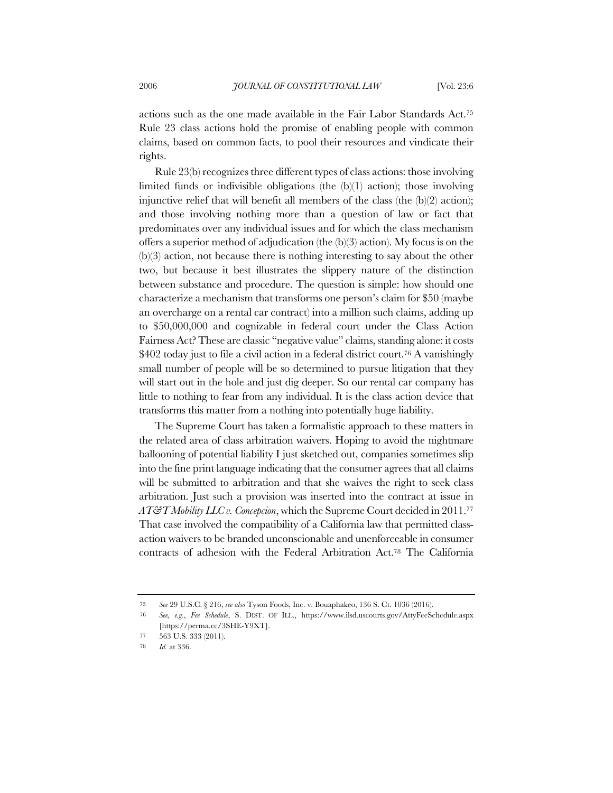actions such as the one made available in the Fair Labor Standards Act.75 Rule 23 class actions hold the promise of enabling people with common claims, based on common facts, to pool their resources and vindicate their rights.

Rule 23(b) recognizes three different types of class actions: those involving limited funds or indivisible obligations (the (b)(1) action); those involving injunctive relief that will benefit all members of the class (the  $(b)(2)$  action); and those involving nothing more than a question of law or fact that predominates over any individual issues and for which the class mechanism offers a superior method of adjudication (the (b)(3) action). My focus is on the (b)(3) action, not because there is nothing interesting to say about the other two, but because it best illustrates the slippery nature of the distinction between substance and procedure. The question is simple: how should one characterize a mechanism that transforms one person's claim for \$50 (maybe an overcharge on a rental car contract) into a million such claims, adding up to \$50,000,000 and cognizable in federal court under the Class Action Fairness Act? These are classic "negative value" claims, standing alone: it costs \$402 today just to file a civil action in a federal district court.<sup>76</sup> A vanishingly small number of people will be so determined to pursue litigation that they will start out in the hole and just dig deeper. So our rental car company has little to nothing to fear from any individual. It is the class action device that transforms this matter from a nothing into potentially huge liability.

The Supreme Court has taken a formalistic approach to these matters in the related area of class arbitration waivers. Hoping to avoid the nightmare ballooning of potential liability I just sketched out, companies sometimes slip into the fine print language indicating that the consumer agrees that all claims will be submitted to arbitration and that she waives the right to seek class arbitration. Just such a provision was inserted into the contract at issue in *AT&T Mobility LLC v. Concepcion*, which the Supreme Court decided in 2011.77 That case involved the compatibility of a California law that permitted classaction waivers to be branded unconscionable and unenforceable in consumer contracts of adhesion with the Federal Arbitration Act.78 The California

<sup>75</sup> *See* 29 U.S.C. § 216; *see also* Tyson Foods, Inc. v. Bouaphakeo, 136 S. Ct. 1036 (2016).

<sup>76</sup> *See, e.g.*, *Fee Schedule*, S. DIST. OF ILL., https://www.ilsd.uscourts.gov/AttyFeeSchedule.aspx [https://perma.cc/3SHE-Y9XT].

<sup>77</sup> 563 U.S. 333 (2011).

<sup>78</sup> *Id.* at 336.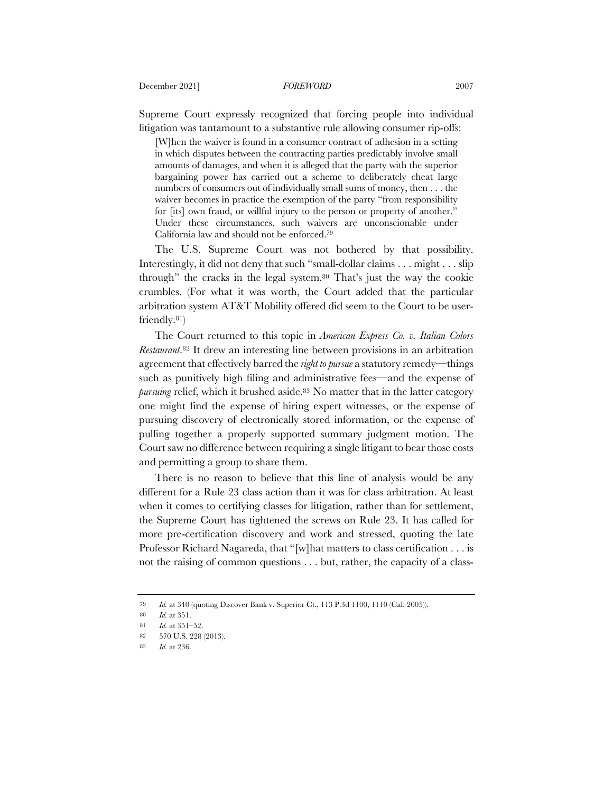Supreme Court expressly recognized that forcing people into individual litigation was tantamount to a substantive rule allowing consumer rip-offs:

[W]hen the waiver is found in a consumer contract of adhesion in a setting in which disputes between the contracting parties predictably involve small amounts of damages, and when it is alleged that the party with the superior bargaining power has carried out a scheme to deliberately cheat large numbers of consumers out of individually small sums of money, then . . . the waiver becomes in practice the exemption of the party "from responsibility for [its] own fraud, or willful injury to the person or property of another." Under these circumstances, such waivers are unconscionable under California law and should not be enforced.79

The U.S. Supreme Court was not bothered by that possibility. Interestingly, it did not deny that such "small-dollar claims . . . might . . . slip through" the cracks in the legal system.80 That's just the way the cookie crumbles. (For what it was worth, the Court added that the particular arbitration system AT&T Mobility offered did seem to the Court to be userfriendly.81)

The Court returned to this topic in *American Express Co. v. Italian Colors Restaurant*.82 It drew an interesting line between provisions in an arbitration agreement that effectively barred the *right to pursue* a statutory remedy—things such as punitively high filing and administrative fees—and the expense of *pursuing* relief, which it brushed aside.<sup>83</sup> No matter that in the latter category one might find the expense of hiring expert witnesses, or the expense of pursuing discovery of electronically stored information, or the expense of pulling together a properly supported summary judgment motion. The Court saw no difference between requiring a single litigant to bear those costs and permitting a group to share them.

There is no reason to believe that this line of analysis would be any different for a Rule 23 class action than it was for class arbitration. At least when it comes to certifying classes for litigation, rather than for settlement, the Supreme Court has tightened the screws on Rule 23. It has called for more pre-certification discovery and work and stressed, quoting the late Professor Richard Nagareda, that "[w]hat matters to class certification . . . is not the raising of common questions . . . but, rather, the capacity of a class-

<sup>79</sup> *Id.* at 340 (quoting Discover Bank v. Superior Ct., 113 P.3d 1100, 1110 (Cal. 2005)).

<sup>80</sup> *Id.* at 351.

<sup>81</sup> *Id.* at 351–52.

<sup>82</sup> 570 U.S. 228 (2013).

<sup>83</sup> *Id.* at 236.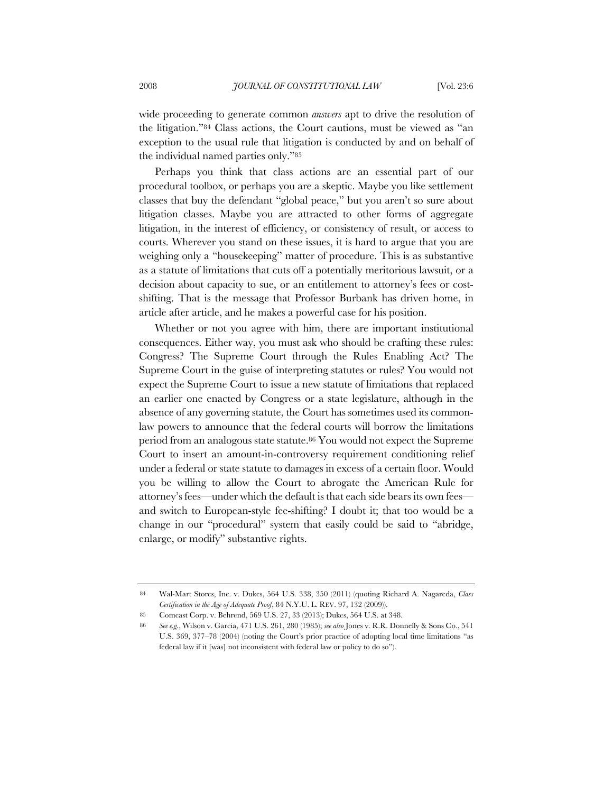wide proceeding to generate common *answers* apt to drive the resolution of the litigation."84 Class actions, the Court cautions, must be viewed as "an exception to the usual rule that litigation is conducted by and on behalf of the individual named parties only."85

Perhaps you think that class actions are an essential part of our procedural toolbox, or perhaps you are a skeptic. Maybe you like settlement classes that buy the defendant "global peace," but you aren't so sure about litigation classes. Maybe you are attracted to other forms of aggregate litigation, in the interest of efficiency, or consistency of result, or access to courts. Wherever you stand on these issues, it is hard to argue that you are weighing only a "housekeeping" matter of procedure. This is as substantive as a statute of limitations that cuts off a potentially meritorious lawsuit, or a decision about capacity to sue, or an entitlement to attorney's fees or costshifting. That is the message that Professor Burbank has driven home, in article after article, and he makes a powerful case for his position.

Whether or not you agree with him, there are important institutional consequences. Either way, you must ask who should be crafting these rules: Congress? The Supreme Court through the Rules Enabling Act? The Supreme Court in the guise of interpreting statutes or rules? You would not expect the Supreme Court to issue a new statute of limitations that replaced an earlier one enacted by Congress or a state legislature, although in the absence of any governing statute, the Court has sometimes used its commonlaw powers to announce that the federal courts will borrow the limitations period from an analogous state statute.<sup>86</sup> You would not expect the Supreme Court to insert an amount-in-controversy requirement conditioning relief under a federal or state statute to damages in excess of a certain floor. Would you be willing to allow the Court to abrogate the American Rule for attorney's fees—under which the default is that each side bears its own fees and switch to European-style fee-shifting? I doubt it; that too would be a change in our "procedural" system that easily could be said to "abridge, enlarge, or modify" substantive rights.

<sup>84</sup> Wal-Mart Stores, Inc. v. Dukes, 564 U.S. 338, 350 (2011) (quoting Richard A. Nagareda, *Class Certification in the Age of Adequate Proof*, 84 N.Y.U. L. REV. 97, 132 (2009)).

<sup>85</sup> Comcast Corp. v. Behrend, 569 U.S. 27, 33 (2013); Dukes, 564 U.S. at 348.

<sup>86</sup> *See e.g.*, Wilson v. Garcia, 471 U.S. 261, 280 (1985); *see also* Jones v. R.R. Donnelly & Sons Co., 541 U.S. 369, 377–78 (2004) (noting the Court's prior practice of adopting local time limitations "as federal law if it [was] not inconsistent with federal law or policy to do so").